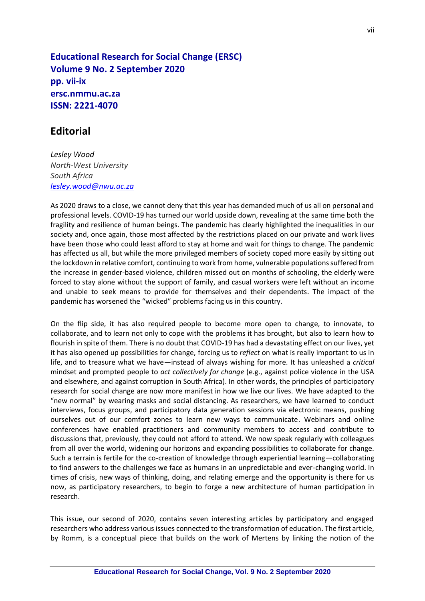**Educational Research for Social Change (ERSC) Volume 9 No. 2 September 2020 pp. vii-ix ersc.nmmu.ac.za ISSN: 2221-4070**

## **Editorial**

*Lesley Wood North-West University South Africa [lesley.wood@nwu.ac.za](mailto:lesley.wood@nwu.ac.za)*

As 2020 draws to a close, we cannot deny that this year has demanded much of us all on personal and professional levels. COVID-19 has turned our world upside down, revealing at the same time both the fragility and resilience of human beings. The pandemic has clearly highlighted the inequalities in our society and, once again, those most affected by the restrictions placed on our private and work lives have been those who could least afford to stay at home and wait for things to change. The pandemic has affected us all, but while the more privileged members of society coped more easily by sitting out the lockdown in relative comfort, continuing to work from home, vulnerable populations suffered from the increase in gender-based violence, children missed out on months of schooling, the elderly were forced to stay alone without the support of family, and casual workers were left without an income and unable to seek means to provide for themselves and their dependents. The impact of the pandemic has worsened the "wicked" problems facing us in this country.

On the flip side, it has also required people to become more open to change, to innovate, to collaborate, and to learn not only to cope with the problems it has brought, but also to learn how to flourish in spite of them. There is no doubt that COVID-19 has had a devastating effect on our lives, yet it has also opened up possibilities for change, forcing us to *reflect* on what is really important to us in life, and to treasure what we have—instead of always wishing for more. It has unleashed a *critical* mindset and prompted people to *act collectively for change* (e.g., against police violence in the USA and elsewhere, and against corruption in South Africa). In other words, the principles of participatory research for social change are now more manifest in how we live our lives. We have adapted to the "new normal" by wearing masks and social distancing. As researchers, we have learned to conduct interviews, focus groups, and participatory data generation sessions via electronic means, pushing ourselves out of our comfort zones to learn new ways to communicate. Webinars and online conferences have enabled practitioners and community members to access and contribute to discussions that, previously, they could not afford to attend. We now speak regularly with colleagues from all over the world, widening our horizons and expanding possibilities to collaborate for change. Such a terrain is fertile for the co-creation of knowledge through experiential learning—collaborating to find answers to the challenges we face as humans in an unpredictable and ever-changing world. In times of crisis, new ways of thinking, doing, and relating emerge and the opportunity is there for us now, as participatory researchers, to begin to forge a new architecture of human participation in research.

This issue, our second of 2020, contains seven interesting articles by participatory and engaged researchers who address various issues connected to the transformation of education. The first article, by Romm, is a conceptual piece that builds on the work of Mertens by linking the notion of the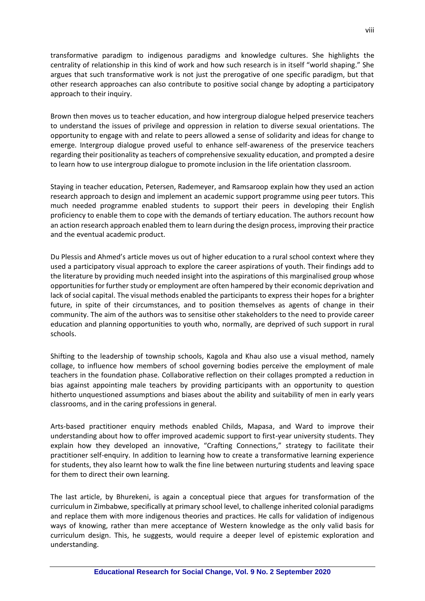transformative paradigm to indigenous paradigms and knowledge cultures. She highlights the centrality of relationship in this kind of work and how such research is in itself "world shaping." She argues that such transformative work is not just the prerogative of one specific paradigm, but that other research approaches can also contribute to positive social change by adopting a participatory approach to their inquiry.

Brown then moves us to teacher education, and how intergroup dialogue helped preservice teachers to understand the issues of privilege and oppression in relation to diverse sexual orientations. The opportunity to engage with and relate to peers allowed a sense of solidarity and ideas for change to emerge. Intergroup dialogue proved useful to enhance self-awareness of the preservice teachers regarding their positionality as teachers of comprehensive sexuality education, and prompted a desire to learn how to use intergroup dialogue to promote inclusion in the life orientation classroom.

Staying in teacher education, Petersen, Rademeyer, and Ramsaroop explain how they used an action research approach to design and implement an academic support programme using peer tutors. This much needed programme enabled students to support their peers in developing their English proficiency to enable them to cope with the demands of tertiary education. The authors recount how an action research approach enabled them to learn during the design process, improving their practice and the eventual academic product.

Du Plessis and Ahmed's article moves us out of higher education to a rural school context where they used a participatory visual approach to explore the career aspirations of youth. Their findings add to the literature by providing much needed insight into the aspirations of this marginalised group whose opportunities for further study or employment are often hampered by their economic deprivation and lack of social capital. The visual methods enabled the participants to express their hopes for a brighter future, in spite of their circumstances, and to position themselves as agents of change in their community. The aim of the authors was to sensitise other stakeholders to the need to provide career education and planning opportunities to youth who, normally, are deprived of such support in rural schools.

Shifting to the leadership of township schools, Kagola and Khau also use a visual method, namely collage, to influence how members of school governing bodies perceive the employment of male teachers in the foundation phase. Collaborative reflection on their collages prompted a reduction in bias against appointing male teachers by providing participants with an opportunity to question hitherto unquestioned assumptions and biases about the ability and suitability of men in early years classrooms, and in the caring professions in general.

Arts-based practitioner enquiry methods enabled Childs, Mapasa, and Ward to improve their understanding about how to offer improved academic support to first-year university students. They explain how they developed an innovative, "Crafting Connections," strategy to facilitate their practitioner self-enquiry. In addition to learning how to create a transformative learning experience for students, they also learnt how to walk the fine line between nurturing students and leaving space for them to direct their own learning.

The last article, by Bhurekeni, is again a conceptual piece that argues for transformation of the curriculum in Zimbabwe, specifically at primary school level, to challenge inherited colonial paradigms and replace them with more indigenous theories and practices. He calls for validation of indigenous ways of knowing, rather than mere acceptance of Western knowledge as the only valid basis for curriculum design. This, he suggests, would require a deeper level of epistemic exploration and understanding.